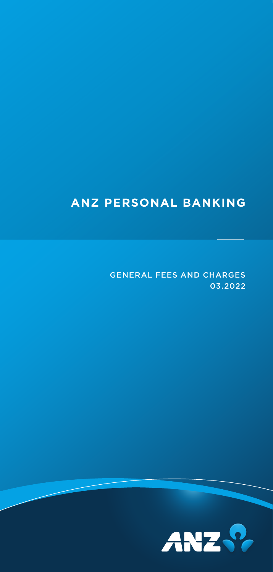# **ANZ PERSONAL BANKING**

GENERAL FEES AND CHARGES 03.2022

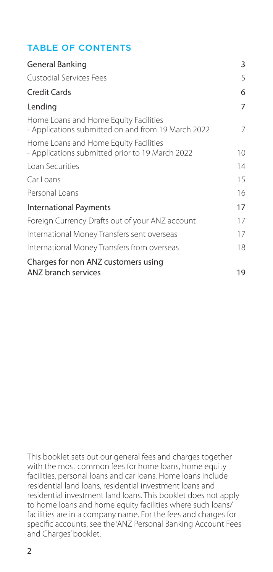## TABLE OF CONTENTS

| General Banking                                                                             | 3       |
|---------------------------------------------------------------------------------------------|---------|
| <b>Custodial Services Fees</b>                                                              | 5       |
| <b>Credit Cards</b>                                                                         | 6       |
| Lending                                                                                     | 7       |
| Home Loans and Home Equity Facilities<br>- Applications submitted on and from 19 March 2022 | 7       |
| Home Loans and Home Equity Facilities<br>- Applications submitted prior to 19 March 2022    | $10 \,$ |
| Loan Securities                                                                             | 14      |
| Carloans                                                                                    | 15      |
| Personal Loans                                                                              | 16      |
| <b>International Payments</b>                                                               | 17      |
| Foreign Currency Drafts out of your ANZ account                                             | 17      |
| International Money Transfers sent overseas                                                 | 17      |
| International Money Transfers from overseas                                                 | 18      |
| Charges for non ANZ customers using                                                         |         |
| ANZ branch services                                                                         | 19      |

This booklet sets out our general fees and charges together with the most common fees for home loans, home equity facilities, personal loans and car loans. Home loans include residential land loans, residential investment loans and residential investment land loans. This booklet does not apply to home loans and home equity facilities where such loans/ facilities are in a company name. For the fees and charges for specific accounts, see the 'ANZ Personal Banking Account Fees and Charges' booklet.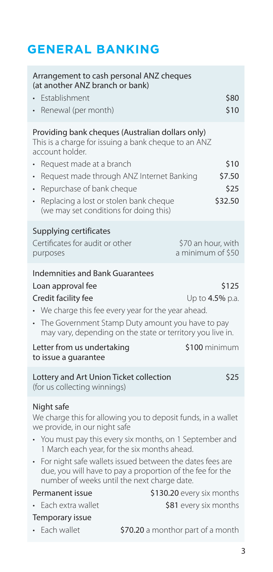# <span id="page-2-0"></span>**GENERAL BANKING**

| Arrangement to cash personal ANZ cheques<br>(at another ANZ branch or bank)                                                                                                                                                                                                               |                                                                                                                                                                                                                                                                                                                                                   |                                         |
|-------------------------------------------------------------------------------------------------------------------------------------------------------------------------------------------------------------------------------------------------------------------------------------------|---------------------------------------------------------------------------------------------------------------------------------------------------------------------------------------------------------------------------------------------------------------------------------------------------------------------------------------------------|-----------------------------------------|
| <b>Fstablishment</b><br>Renewal (per month)                                                                                                                                                                                                                                               |                                                                                                                                                                                                                                                                                                                                                   | \$80<br>\$10                            |
| Providing bank cheques (Australian dollars only)<br>This is a charge for issuing a bank cheque to an ANZ<br>account holder.                                                                                                                                                               |                                                                                                                                                                                                                                                                                                                                                   |                                         |
| Reguest made at a branch<br>Repurchase of bank cheque<br>Replacing a lost or stolen bank cheque<br>(we may set conditions for doing this)                                                                                                                                                 | Request made through ANZ Internet Banking                                                                                                                                                                                                                                                                                                         | \$10<br>\$7.50<br>\$25<br>\$32.50       |
| Supplying certificates<br>Certificates for audit or other<br>purposes                                                                                                                                                                                                                     |                                                                                                                                                                                                                                                                                                                                                   | \$70 an hour, with<br>a minimum of \$50 |
| <b>Indemnities and Bank Guarantees</b><br>\$125<br>Loan approval fee<br>Credit facility fee<br>Up to 4.5% p.a.<br>• We charge this fee every year for the year ahead.<br>• The Government Stamp Duty amount you have to pay<br>may vary, depending on the state or territory you live in. |                                                                                                                                                                                                                                                                                                                                                   |                                         |
|                                                                                                                                                                                                                                                                                           |                                                                                                                                                                                                                                                                                                                                                   |                                         |
| Letter from us undertaking<br>to issue a guarantee                                                                                                                                                                                                                                        |                                                                                                                                                                                                                                                                                                                                                   | \$100 minimum                           |
| Lottery and Art Union Ticket collection<br>(for us collecting winnings)                                                                                                                                                                                                                   |                                                                                                                                                                                                                                                                                                                                                   | \$25                                    |
| Night safe<br>we provide, in our night safe<br>$\ddot{\phantom{0}}$                                                                                                                                                                                                                       | We charge this for allowing you to deposit funds, in a wallet<br>• You must pay this every six months, on 1 September and<br>1 March each year, for the six months ahead.<br>For night safe wallets issued between the dates fees are<br>due, you will have to pay a proportion of the fee for the<br>number of weeks until the next charge date. |                                         |
| Permanent issue                                                                                                                                                                                                                                                                           | \$130.20 every six months                                                                                                                                                                                                                                                                                                                         |                                         |
| Each extra wallet<br>Temporary issue                                                                                                                                                                                                                                                      |                                                                                                                                                                                                                                                                                                                                                   | \$81 every six months                   |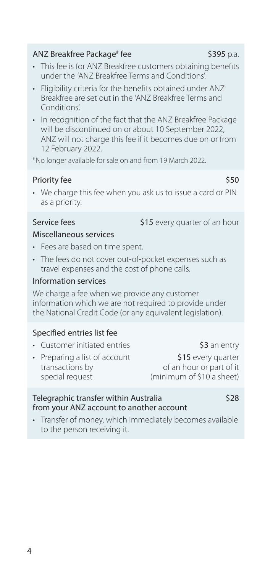#### ANZ Breakfree Package<sup>#</sup> fee

- This fee is for ANZ Breakfree customers obtaining benefits under the 'ANZ Breakfree Terms and Conditions'.
- Eligibility criteria for the benefits obtained under ANZ Breakfree are set out in the 'ANZ Breakfree Terms and Conditions'.
- In recognition of the fact that the ANZ Breakfree Package will be discontinued on or about 10 September 2022, ANZ will not charge this fee if it becomes due on or from 12 February 2022.

# No longer available for sale on and from 19 March 2022.

### Priority fee \$50

• We charge this fee when you ask us to issue a card or PIN as a priority.

Service fees \$15 every quarter of an hour

#### Miscellaneous services

- Fees are based on time spent.
- The fees do not cover out-of-pocket expenses such as travel expenses and the cost of phone calls.

#### Information services

We charge a fee when we provide any customer information which we are not required to provide under the National Credit Code (or any equivalent legislation).

### Specified entries list fee

- Customer initiated entries **\$3** an entry
- Preparing a list of account \$15 every quarter<br>transactions by transactions by the set of an hour or part of it special request (minimum of \$10 a sheet)

of an hour or part of it

#### Telegraphic transfer within Australia \$28 from your ANZ account to another account

• Transfer of money, which immediately becomes available to the person receiving it.

\$395 p.a.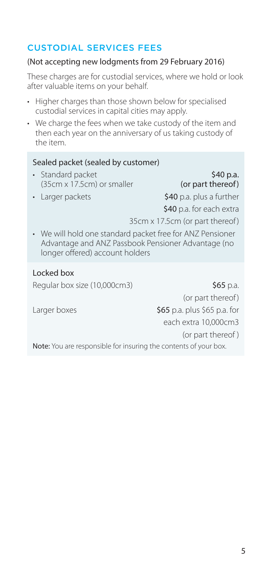## <span id="page-4-0"></span>CUSTODIAL SERVICES FEES

#### (Not accepting new lodgments from 29 February 2016)

These charges are for custodial services, where we hold or look after valuable items on your behalf.

- Higher charges than those shown below for specialised custodial services in capital cities may apply.
- We charge the fees when we take custody of the item and then each year on the anniversary of us taking custody of the item.

#### Sealed packet (sealed by customer)

- Standard packet \$40 p.a.<br>(35cm x 17.5cm) or smaller (or part thereof)  $(35cm \times 17.5cm)$  or smaller
	-

• Larger packets  $$40$  p.a. plus a further

\$40 p.a. for each extra

- 35cm x 17.5cm (or part thereof)
- We will hold one standard packet free for ANZ Pensioner Advantage and ANZ Passbook Pensioner Advantage (no longer offered) account holders

#### Locked box

Regular box size (10,000cm3) \$65 p.a.

(or part thereof) Larger boxes  $\frac{1}{565}$  p.a. plus \$65 p.a. for each extra 10,000cm3 (or part thereof )

Note: You are responsible for insuring the contents of your box.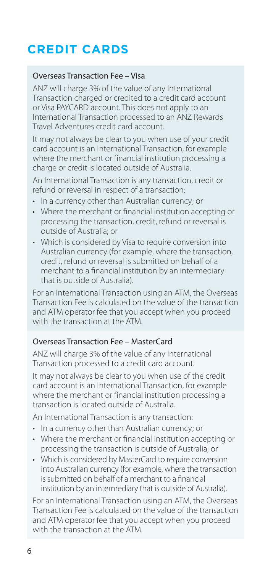# <span id="page-5-0"></span>**CREDIT CARDS**

#### Overseas Transaction Fee – Visa

ANZ will charge 3% of the value of any International Transaction charged or credited to a credit card account or Visa PAYCARD account. This does not apply to an International Transaction processed to an ANZ Rewards Travel Adventures credit card account.

It may not always be clear to you when use of your credit card account is an International Transaction, for example where the merchant or financial institution processing a charge or credit is located outside of Australia.

An International Transaction is any transaction, credit or refund or reversal in respect of a transaction:

- In a currency other than Australian currency; or
- Where the merchant or financial institution accepting or processing the transaction, credit, refund or reversal is outside of Australia; or
- Which is considered by Visa to require conversion into Australian currency (for example, where the transaction, credit, refund or reversal is submitted on behalf of a merchant to a financial institution by an intermediary that is outside of Australia).

For an International Transaction using an ATM, the Overseas Transaction Fee is calculated on the value of the transaction and ATM operator fee that you accept when you proceed with the transaction at the ATM.

#### Overseas Transaction Fee – MasterCard

ANZ will charge 3% of the value of any International Transaction processed to a credit card account.

It may not always be clear to you when use of the credit card account is an International Transaction, for example where the merchant or financial institution processing a transaction is located outside of Australia.

An International Transaction is any transaction:

- In a currency other than Australian currency; or
- Where the merchant or financial institution accepting or processing the transaction is outside of Australia; or
- Which is considered by MasterCard to require conversion into Australian currency (for example, where the transaction is submitted on behalf of a merchant to a financial institution by an intermediary that is outside of Australia).

For an International Transaction using an ATM, the Overseas Transaction Fee is calculated on the value of the transaction and ATM operator fee that you accept when you proceed with the transaction at the ATM.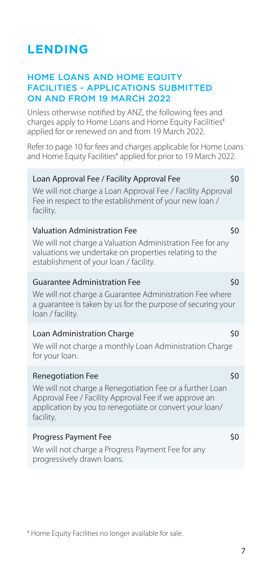# <span id="page-6-0"></span>**LENDING**

### HOME LOANS AND HOME EQUITY FACILITIES - APPLICATIONS SUBMITTED ON AND FROM 19 MARCH 2022

Unless otherwise notified by ANZ, the following fees and charges apply to Home Loans and Home Equity Facilities<sup>#</sup> applied for or renewed on and from 19 March 2022.

Refer to page 10 for fees and charges applicable for Home Loans and Home Equity Facilities# applied for prior to 19 March 2022.

| Loan Approval Fee / Facility Approval Fee<br>We will not charge a Loan Approval Fee / Facility Approval<br>Fee in respect to the establishment of your new loan /<br>facility.                                        | \$0 |
|-----------------------------------------------------------------------------------------------------------------------------------------------------------------------------------------------------------------------|-----|
| <b>Valuation Administration Fee</b><br>We will not charge a Valuation Administration Fee for any<br>valuations we undertake on properties relating to the<br>establishment of your loan / facility.                   | \$0 |
| <b>Guarantee Administration Fee</b><br>We will not charge a Guarantee Administration Fee where<br>a guarantee is taken by us for the purpose of securing your<br>loan / facility.                                     | \$0 |
| Loan Administration Charge<br>We will not charge a monthly Loan Administration Charge<br>for your loan.                                                                                                               | \$0 |
| <b>Renegotiation Fee</b><br>We will not charge a Renegotiation Fee or a further Loan<br>Approval Fee / Facility Approval Fee if we approve an<br>application by you to renegotiate or convert your loan/<br>facility. | \$0 |
| <b>Progress Payment Fee</b><br>We will not charge a Progress Payment Fee for any<br>progressively drawn loans.                                                                                                        | \$0 |
|                                                                                                                                                                                                                       |     |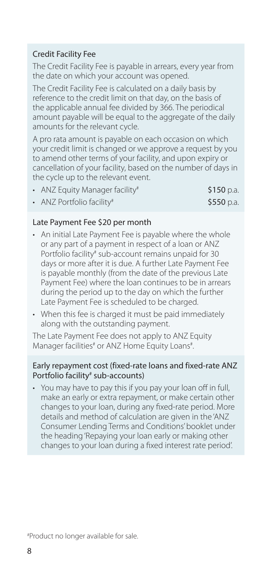#### Credit Facility Fee

The Credit Facility Fee is payable in arrears, every year from the date on which your account was opened.

The Credit Facility Fee is calculated on a daily basis by reference to the credit limit on that day, on the basis of the applicable annual fee divided by 366. The periodical amount payable will be equal to the aggregate of the daily amounts for the relevant cycle.

A pro rata amount is payable on each occasion on which your credit limit is changed or we approve a request by you to amend other terms of your facility, and upon expiry or cancellation of your facility, based on the number of days in the cycle up to the relevant event.

| • ANZ Equity Manager facility <sup>#</sup> | \$150 p.a. |
|--------------------------------------------|------------|
| • ANZ Portfolio facility#                  | \$550 p.a. |
|                                            |            |

#### Late Payment Fee \$20 per month

- An initial Late Payment Fee is payable where the whole or any part of a payment in respect of a loan or ANZ Portfolio facility<sup>#</sup> sub-account remains unpaid for 30 days or more after it is due. A further Late Payment Fee is payable monthly (from the date of the previous Late Payment Fee) where the loan continues to be in arrears during the period up to the day on which the further Late Payment Fee is scheduled to be charged.
- When this fee is charged it must be paid immediately along with the outstanding payment.

The Late Payment Fee does not apply to ANZ Equity Manager facilities<sup>#</sup> or ANZ Home Equity Loans<sup>#</sup> .

#### Early repayment cost (fixed-rate loans and fixed-rate ANZ Portfolio facility<sup>#</sup> sub-accounts)

• You may have to pay this if you pay your loan off in full, make an early or extra repayment, or make certain other changes to your loan, during any fixed-rate period. More details and method of calculation are given in the 'ANZ Consumer Lending Terms and Conditions' booklet under the heading 'Repaying your loan early or making other changes to your loan during a fixed interest rate period'.

# Product no longer available for sale.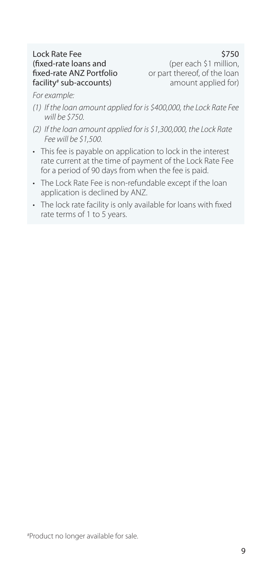# Lock Rate Fee **\$750**<br> **S750** (fixed-rate loans and structure that the control of the reach \$1 million) facility<sup>#</sup> sub-accounts)

(fixed-rate loans and (per each \$1 million,<br>fixed-rate ANZ Portfolio or part thereof, of the loan or part thereof, of the loan amount applied for)

*For example:*

- *(1) If the loan amount applied for is \$400,000, the Lock Rate Fee will be \$750.*
- *(2) If the loan amount applied for is \$1,300,000, the Lock Rate Fee will be \$1,500.*
- This fee is payable on application to lock in the interest rate current at the time of payment of the Lock Rate Fee for a period of 90 days from when the fee is paid.
- The Lock Rate Fee is non-refundable except if the loan application is declined by ANZ.
- The lock rate facility is only available for loans with fixed rate terms of 1 to 5 years.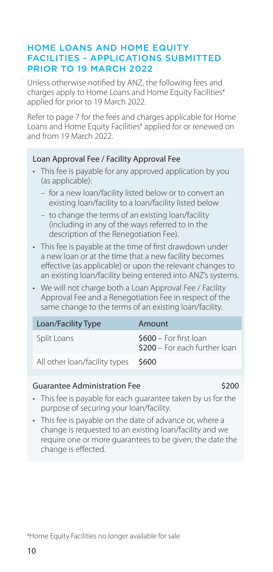### <span id="page-9-0"></span>HOME LOANS AND HOME EQUITY FACILITIES - APPLICATIONS SUBMITTED PRIOR TO 19 MARCH 2022

Unless otherwise notified by ANZ, the following fees and charges apply to Home Loans and Home Equity Facilities<sup>#</sup> applied for prior to 19 March 2022.

Refer to page 7 for the fees and charges applicable for Home Loans and Home Equity Facilities# applied for or renewed on and from 19 March  $2022$ .

#### Loan Approval Fee / Facility Approval Fee

- This fee is payable for any approved application by you (as applicable):
	- for a new loan/facility listed below or to convert an existing loan/facility to a loan/facility listed below
	- to change the terms of an existing loan/facility (including in any of the ways referred to in the description of the Renegotiation Fee).
- This fee is payable at the time of first drawdown under a new loan or at the time that a new facility becomes effective (as applicable) or upon the relevant changes to an existing loan/facility being entered into ANZ's systems.
- We will not charge both a Loan Approval Fee / Facility Approval Fee and a Renegotiation Fee in respect of the same change to the terms of an existing loan/facility.

| Loan/Facility Type                  | Amount                                                   |
|-------------------------------------|----------------------------------------------------------|
| Split Loans                         | $$600 - For first loan$<br>\$200 - For each further loan |
| All other loan/facility types \$600 |                                                          |

#### Guarantee Administration Fee **\$200**

- This fee is payable for each guarantee taken by us for the purpose of securing your loan/facility.
- This fee is payable on the date of advance or, where a change is requested to an existing loan/facility and we require one or more guarantees to be given, the date the change is effected.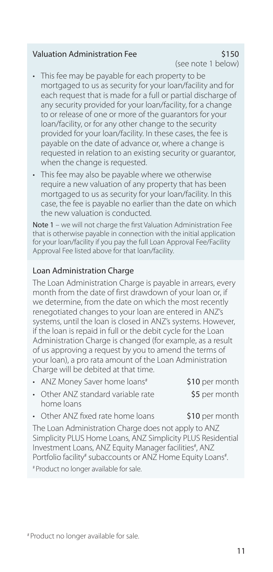#### Valuation Administration Fee  $$150$

(see note 1 below)

- This fee may be payable for each property to be mortgaged to us as security for your loan/facility and for each request that is made for a full or partial discharge of any security provided for your loan/facility, for a change to or release of one or more of the guarantors for your loan/facility, or for any other change to the security provided for your loan/facility. In these cases, the fee is payable on the date of advance or, where a change is requested in relation to an existing security or quarantor, when the change is requested.
- This fee may also be payable where we otherwise require a new valuation of any property that has been mortgaged to us as security for your loan/facility. In this case, the fee is payable no earlier than the date on which the new valuation is conducted.

Note 1 – we will not charge the first Valuation Administration Fee that is otherwise payable in connection with the initial application for your loan/facility if you pay the full Loan Approval Fee/Facility Approval Fee listed above for that loan/facility.

## Loan Administration Charge

The Loan Administration Charge is payable in arrears, every month from the date of first drawdown of your loan or, if we determine, from the date on which the most recently renegotiated changes to your loan are entered in ANZ's systems, until the loan is closed in ANZ's systems. However, if the loan is repaid in full or the debit cycle for the Loan Administration Charge is changed (for example, as a result of us approving a request by you to amend the terms of your loan), a pro rata amount of the Loan Administration Charge will be debited at that time.

| • ANZ Money Saver home loans <sup>#</sup> | \$10 per month |
|-------------------------------------------|----------------|
| • Other ANZ standard variable rate        | \$5 per month  |
| home loans                                |                |
| • Other ANZ fixed rate home loans         | \$10 per month |

The Loan Administration Charge does not apply to ANZ Simplicity PLUS Home Loans, ANZ Simplicity PLUS Residential Investment Loans, ANZ Equity Manager facilities<sup>#</sup>, ANZ Portfolio facility<sup>#</sup> subaccounts or ANZ Home Equity Loans<sup>#</sup> . # Product no longer available for sale.

# Product no longer available for sale.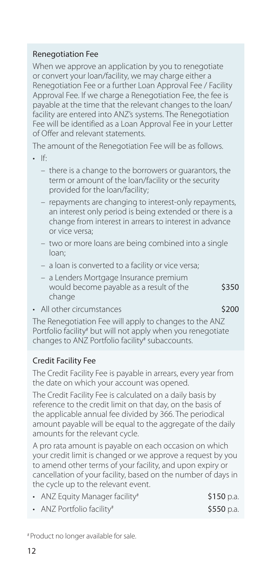### Renegotiation Fee

When we approve an application by you to renegotiate or convert your loan/facility, we may charge either a Renegotiation Fee or a further Loan Approval Fee / Facility Approval Fee. If we charge a Renegotiation Fee, the fee is payable at the time that the relevant changes to the loan/ facility are entered into ANZ's systems. The Renegotiation Fee will be identified as a Loan Approval Fee in your Letter of Offer and relevant statements.

The amount of the Renegotiation Fee will be as follows.

- $\cdot$  If  $\cdot$ 
	- there is a change to the borrowers or guarantors, the term or amount of the loan/facility or the security provided for the loan/facility;
	- repayments are changing to interest-only repayments, an interest only period is being extended or there is a change from interest in arrears to interest in advance or vice versa;
	- two or more loans are being combined into a single loan;
	- a loan is converted to a facility or vice versa;
	- a Lenders Mortgage Insurance premium would become payable as a result of the  $$350$ change
- All other circumstances  $\sim$  \$200

The Renegotiation Fee will apply to changes to the ANZ Portfolio facility<sup>#</sup> but will not apply when you renegotiate changes to ANZ Portfolio facility<sup>#</sup> subaccounts.

### Credit Facility Fee

The Credit Facility Fee is payable in arrears, every year from the date on which your account was opened.

The Credit Facility Fee is calculated on a daily basis by reference to the credit limit on that day, on the basis of the applicable annual fee divided by 366. The periodical amount payable will be equal to the aggregate of the daily amounts for the relevant cycle.

A pro rata amount is payable on each occasion on which your credit limit is changed or we approve a request by you to amend other terms of your facility, and upon expiry or cancellation of your facility, based on the number of days in the cycle up to the relevant event.

| • ANZ Equity Manager facility <sup>#</sup> | \$150 p.a. |
|--------------------------------------------|------------|
| • ANZ Portfolio facility#                  | \$550 p.a. |

<sup>#</sup> Product no longer available for sale.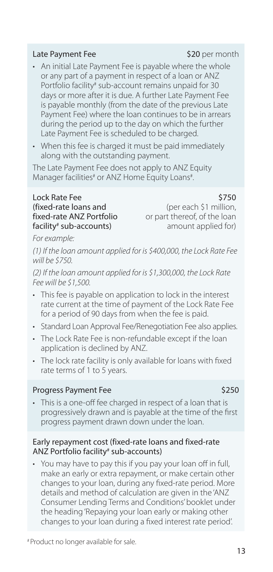## # Product no longer available for sale.

#### Late Payment Fee \$20 per month

- An initial Late Payment Fee is payable where the whole or any part of a payment in respect of a loan or ANZ Portfolio facility# sub-account remains unpaid for 30 days or more after it is due. A further Late Payment Fee is payable monthly (from the date of the previous Late Payment Fee) where the loan continues to be in arrears during the period up to the day on which the further Late Payment Fee is scheduled to be charged.
- When this fee is charged it must be paid immediately along with the outstanding payment.

The Late Payment Fee does not apply to ANZ Equity Manager facilities<sup>#</sup> or ANZ Home Equity Loans<sup>#</sup>.

#### Lock Rate Fee (fixed-rate loans and fixed-rate ANZ Portfolio facility# sub-accounts)

\$750 (per each \$1 million, or part thereof, of the loan amount applied for)

*For example:*

*(1) If the loan amount applied for is \$400,000, the Lock Rate Fee will be \$750.*

*(2) If the loan amount applied for is \$1,300,000, the Lock Rate Fee will be \$1,500.*

- This fee is payable on application to lock in the interest rate current at the time of payment of the Lock Rate Fee for a period of 90 days from when the fee is paid.
- Standard Loan Approval Fee/Renegotiation Fee also applies.
- The Lock Rate Fee is non-refundable except if the loan application is declined by ANZ.
- The lock rate facility is only available for loans with fixed rate terms of 1 to 5 years.

#### Progress Payment Fee \$250

• This is a one-off fee charged in respect of a loan that is progressively drawn and is payable at the time of the first progress payment drawn down under the loan.

#### Early repayment cost (fixed-rate loans and fixed-rate ANZ Portfolio facility# sub-accounts)

• You may have to pay this if you pay your loan off in full, make an early or extra repayment, or make certain other changes to your loan, during any fixed-rate period. More details and method of calculation are given in the 'ANZ Consumer Lending Terms and Conditions' booklet under the heading 'Repaying your loan early or making other changes to your loan during a fixed interest rate period'.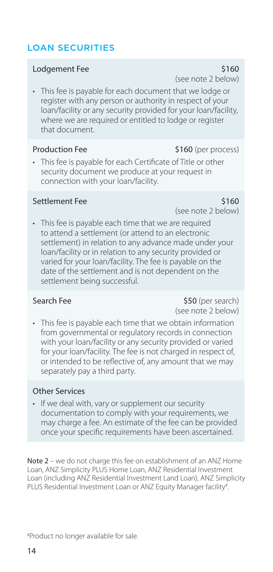## <span id="page-13-0"></span>LOAN SECURITIES

#### Lodgement Fee \$160

• This fee is payable for each document that we lodge or register with any person or authority in respect of your loan/facility or any security provided for your loan/facility, where we are required or entitled to lodge or register that document.

#### Production Fee \$160 (per process)

• This fee is payable for each Certificate of Title or other security document we produce at your request in connection with your loan/facility.

#### Settlement Fee \$160

(see note 2 below)

• This fee is payable each time that we are required to attend a settlement (or attend to an electronic settlement) in relation to any advance made under your loan/facility or in relation to any security provided or varied for your loan/facility. The fee is payable on the date of the settlement and is not dependent on the settlement being successful.

Search Fee \$50 (per search) (see note 2 below)

• This fee is payable each time that we obtain information from governmental or regulatory records in connection with your loan/facility or any security provided or varied for your loan/facility. The fee is not charged in respect of. or intended to be reflective of, any amount that we may separately pay a third party.

### Other Services

• If we deal with, vary or supplement our security documentation to comply with your requirements, we may charge a fee. An estimate of the fee can be provided once your specific requirements have been ascertained.

Note 2 – we do not charge this fee on establishment of an ANZ Home Loan, ANZ Simplicity PLUS Home Loan, ANZ Residential Investment Loan (including ANZ Residential Investment Land Loan), ANZ Simplicity PLUS Residential Investment Loan or ANZ Equity Manager facility#. .

(see note 2 below)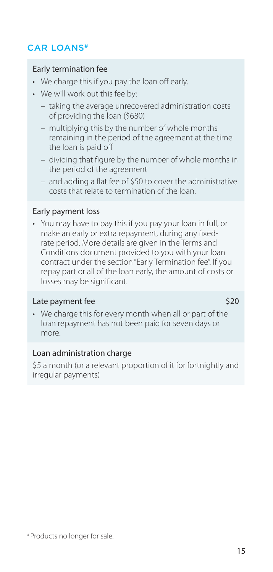## <span id="page-14-0"></span>CAR LOANS#

#### Early termination fee

- We charge this if you pay the loan off early.
- We will work out this fee by:
	- taking the average unrecovered administration costs of providing the loan (\$680)
	- multiplying this by the number of whole months remaining in the period of the agreement at the time the loan is paid off
	- dividing that figure by the number of whole months in the period of the agreement
	- and adding a flat fee of \$50 to cover the administrative costs that relate to termination of the loan.

#### Early payment loss

• You may have to pay this if you pay your loan in full, or make an early or extra repayment, during any fixedrate period. More details are given in the Terms and Conditions document provided to you with your loan contract under the section "Early Termination fee". If you repay part or all of the loan early, the amount of costs or losses may be significant.

#### Late payment fee \$20

• We charge this for every month when all or part of the loan repayment has not been paid for seven days or more.

#### Loan administration charge

\$5 a month (or a relevant proportion of it for fortnightly and irregular payments)

# Products no longer for sale.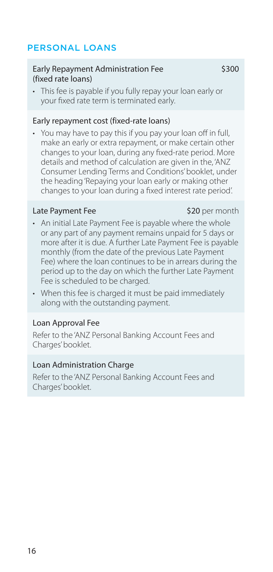## <span id="page-15-0"></span>PERSONAL LOANS

#### Early Repayment Administration Fee \$300 (fixed rate loans)

• This fee is payable if you fully repay your loan early or your fixed rate term is terminated early.

### Early repayment cost (fixed-rate loans)

• You may have to pay this if you pay your loan off in full, make an early or extra repayment, or make certain other changes to your loan, during any fixed-rate period. More details and method of calculation are given in the, 'ANZ Consumer Lending Terms and Conditions' booklet, under the heading 'Repaying your loan early or making other changes to your loan during a fixed interest rate period'.

#### Late Payment Fee \$20 per month

- An initial Late Payment Fee is payable where the whole or any part of any payment remains unpaid for 5 days or more after it is due. A further Late Payment Fee is payable monthly (from the date of the previous Late Payment Fee) where the loan continues to be in arrears during the period up to the day on which the further Late Payment Fee is scheduled to be charged.
- When this fee is charged it must be paid immediately along with the outstanding payment.

#### Loan Approval Fee

Refer to the 'ANZ Personal Banking Account Fees and Charges' booklet.

#### Loan Administration Charge

Refer to the 'ANZ Personal Banking Account Fees and Charges' booklet.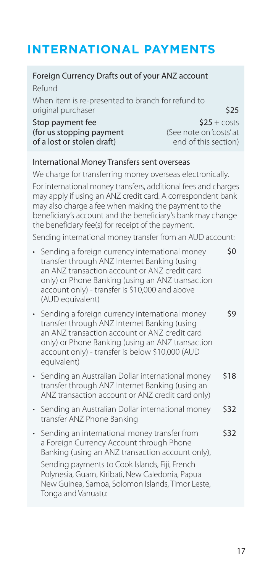# <span id="page-16-0"></span>**INTERNATIONAL PAYMENTS**

#### Foreign Currency Drafts out of your ANZ account Refund When item is re-presented to branch for refund to original purchaser  $\sim$  \$25 Stop payment fee  $$25 + \text{costs}$ <br>(for us stopping payment  $$6e$  note on 'costs' at (**for us stopping payment** (See note on 'costs' at<br> **of a lost or stolen draft**) end of this section of a lost or stolen draft) International Money Transfers sent overseas We charge for transferring money overseas electronically. For international money transfers, additional fees and charges may apply if using an ANZ credit card. A correspondent bank may also charge a fee when making the payment to the beneficiary's account and the beneficiary's bank may change the beneficiary fee(s) for receipt of the payment. Sending international money transfer from an AUD account: • Sending a foreign currency international money transfer through ANZ Internet Banking (using an ANZ transaction account or ANZ credit card only) or Phone Banking (using an ANZ transaction account only) - transfer is \$10,000 and above (AUD equivalent) \$0 • Sending a foreign currency international money transfer through ANZ Internet Banking (using an ANZ transaction account or ANZ credit card only) or Phone Banking (using an ANZ transaction account only) - transfer is below \$10,000 (AUD equivalent) \$9 • Sending an Australian Dollar international money transfer through ANZ Internet Banking (using an ANZ transaction account or ANZ credit card only) \$18 • Sending an Australian Dollar international money transfer ANZ Phone Banking \$32 • Sending an international money transfer from a Foreign Currency Account through Phone Banking (using an ANZ transaction account only), Sending payments to Cook Islands, Fiji, French Polynesia, Guam, Kiribati, New Caledonia, Papua New Guinea, Samoa, Solomon Islands, Timor Leste, Tonga and Vanuatu: \$32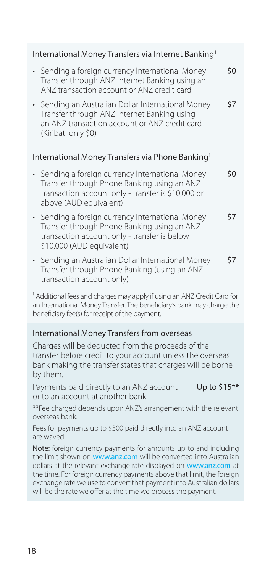<span id="page-17-0"></span>

| International Money Transfers via Internet Banking <sup>1</sup> |                                                                                                                                                                                 |     |
|-----------------------------------------------------------------|---------------------------------------------------------------------------------------------------------------------------------------------------------------------------------|-----|
|                                                                 | • Sending a foreign currency International Money<br>Transfer through ANZ Internet Banking using an<br>ANZ transaction account or ANZ credit card                                | \$0 |
|                                                                 | • Sending an Australian Dollar International Money<br>Transfer through ANZ Internet Banking using<br>an ANZ transaction account or ANZ credit card<br>(Kiribati only \$0)       | \$7 |
|                                                                 | International Money Transfers via Phone Banking <sup>1</sup>                                                                                                                    |     |
|                                                                 | • Sending a foreign currency International Money<br>Transfer through Phone Banking using an ANZ<br>transaction account only - transfer is \$10,000 or<br>above (AUD equivalent) | \$0 |
|                                                                 | • Sending a foreign currency International Money<br>Transfer through Phone Banking using an ANZ<br>transaction account only - transfer is below<br>\$10,000 (AUD equivalent)    | \$7 |
|                                                                 | • Sending an Australian Dollar International Money<br>Transfer through Phone Banking (using an ANZ<br>transaction account only)                                                 | \$7 |

<sup>1</sup> Additional fees and charges may apply if using an ANZ Credit Card for an International Money Transfer. The beneficiary's bank may charge the beneficiary fee(s) for receipt of the payment.

#### International Money Transfers from overseas

Charges will be deducted from the proceeds of the transfer before credit to your account unless the overseas bank making the transfer states that charges will be borne by them.

Payments paid directly to an ANZ account Up to \$15<sup>\*\*</sup> or to an account at another bank

\*\*Fee charged depends upon ANZ's arrangement with the relevant overseas bank.

Fees for payments up to \$300 paid directly into an ANZ account are waved.

Note: foreign currency payments for amounts up to and including the limit shown on [www.anz.com](file:///C:\Users\gmbm\AppData\Local\OpenText\DM\Temp\www.anz.com) will be converted into Australian dollars at the relevant exchange rate displayed on [www.anz.com](file:///C:\Users\gmbm\AppData\Local\OpenText\DM\Temp\www.anz.com) at the time. For foreign currency payments above that limit, the foreign exchange rate we use to convert that payment into Australian dollars will be the rate we offer at the time we process the payment.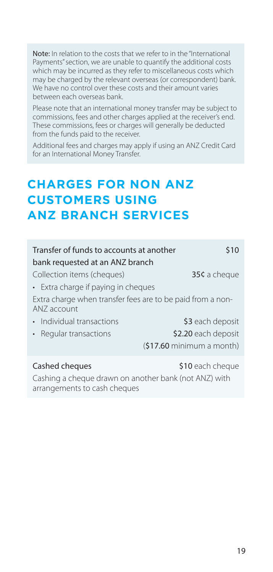<span id="page-18-0"></span>Note: In relation to the costs that we refer to in the "International Payments" section, we are unable to quantify the additional costs which may be incurred as they refer to miscellaneous costs which may be charged by the relevant overseas (or correspondent) bank. We have no control over these costs and their amount varies between each overseas bank.

Please note that an international money transfer may be subject to commissions, fees and other charges applied at the receiver's end. These commissions, fees or charges will generally be deducted from the funds paid to the receiver.

Additional fees and charges may apply if using an ANZ Credit Card for an International Money Transfer.

# **CHARGES FOR NON ANZ CUSTOMERS USING ANZ BRANCH SERVICES**

| Transfer of funds to accounts at another<br>\$10                          |                                    |  |
|---------------------------------------------------------------------------|------------------------------------|--|
| bank requested at an ANZ branch                                           |                                    |  |
| Collection items (cheques)                                                | 35¢ a cheque                       |  |
| • Extra charge if paying in cheques                                       |                                    |  |
| Extra charge when transfer fees are to be paid from a non-<br>ANZ account |                                    |  |
| Individual transactions                                                   | \$3 each deposit                   |  |
| Regular transactions                                                      | \$2.20 each deposit                |  |
|                                                                           | $(517.60 \text{ minimum a month})$ |  |
| Cashed cheques<br>Cashing a cheque drawn on another hank (not ANZ) with   | \$10 each cheque                   |  |

shing a cheque drawn on another bank (not Al arrangements to cash cheques